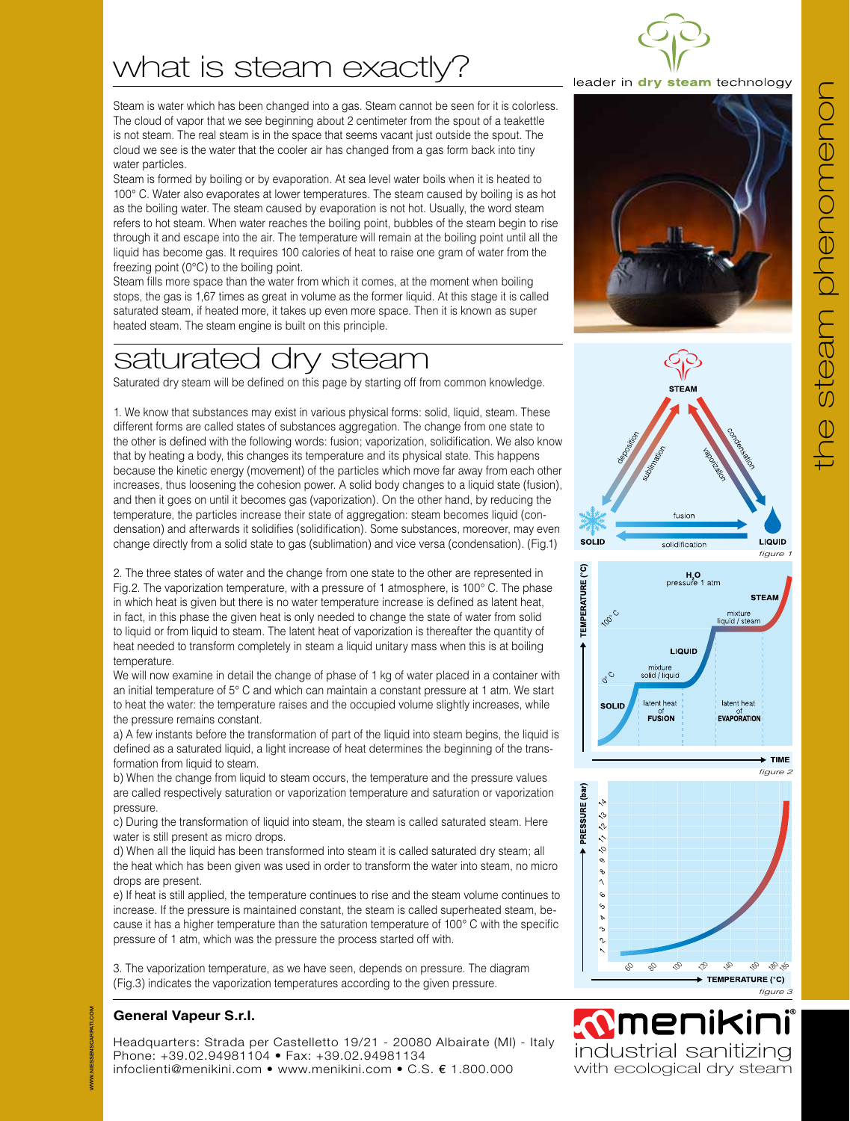# what is steam exactly?

Steam is water which has been changed into a gas. Steam cannot be seen for it is colorless. The cloud of vapor that we see beginning about 2 centimeter from the spout of a teakettle is not steam. The real steam is in the space that seems vacant just outside the spout. The cloud we see is the water that the cooler air has changed from a gas form back into tiny water particles.

Steam is formed by boiling or by evaporation. At sea level water boils when it is heated to 100° C. Water also evaporates at lower temperatures. The steam caused by boiling is as hot as the boiling water. The steam caused by evaporation is not hot. Usually, the word steam refers to hot steam. When water reaches the boiling point, bubbles of the steam begin to rise through it and escape into the air. The temperature will remain at the boiling point until all the liquid has become gas. It requires 100 calories of heat to raise one gram of water from the freezing point (0°C) to the boiling point.

Steam fills more space than the water from which it comes, at the moment when boiling stops, the gas is 1,67 times as great in volume as the former liquid. At this stage it is called saturated steam, if heated more, it takes up even more space. Then it is known as super heated steam. The steam engine is built on this principle.

## saturated dry steam

Saturated dry steam will be defined on this page by starting off from common knowledge.

1. We know that substances may exist in various physical forms: solid, liquid, steam. These different forms are called states of substances aggregation. The change from one state to the other is defined with the following words: fusion; vaporization, solidification. We also know that by heating a body, this changes its temperature and its physical state. This happens because the kinetic energy (movement) of the particles which move far away from each other increases, thus loosening the cohesion power. A solid body changes to a liquid state (fusion), and then it goes on until it becomes gas (vaporization). On the other hand, by reducing the temperature, the particles increase their state of aggregation: steam becomes liquid (condensation) and afterwards it solidifies (solidification). Some substances, moreover, may even change directly from a solid state to gas (sublimation) and vice versa (condensation). (Fig.1)

2. The three states of water and the change from one state to the other are represented in Fig.2. The vaporization temperature, with a pressure of 1 atmosphere, is 100° C. The phase in which heat is given but there is no water temperature increase is defined as latent heat, in fact, in this phase the given heat is only needed to change the state of water from solid to liquid or from liquid to steam. The latent heat of vaporization is thereafter the quantity of heat needed to transform completely in steam a liquid unitary mass when this is at boiling temperature.

We will now examine in detail the change of phase of 1 kg of water placed in a container with an initial temperature of 5° C and which can maintain a constant pressure at 1 atm. We start to heat the water: the temperature raises and the occupied volume slightly increases, while the pressure remains constant.

a) A few instants before the transformation of part of the liquid into steam begins, the liquid is defined as a saturated liquid, a light increase of heat determines the beginning of the transformation from liquid to steam.

b) When the change from liquid to steam occurs, the temperature and the pressure values are called respectively saturation or vaporization temperature and saturation or vaporization pressure.

c) During the transformation of liquid into steam, the steam is called saturated steam. Here water is still present as micro drops.

d) When all the liquid has been transformed into steam it is called saturated dry steam; all the heat which has been given was used in order to transform the water into steam, no micro drops are present.

e) If heat is still applied, the temperature continues to rise and the steam volume continues to increase. If the pressure is maintained constant, the steam is called superheated steam, because it has a higher temperature than the saturation temperature of 100° C with the specific pressure of 1 atm, which was the pressure the process started off with.

3. The vaporization temperature, as we have seen, depends on pressure. The diagram (Fig.3) indicates the vaporization temperatures according to the given pressure.

## **General Vapeur S.r.l.**

WWW.NIESSENSCARPATI.COM

**JIESSENSCARPATI.COM** 

Headquarters: Strada per Castelletto 19/21 - 20080 Albairate (MI) - Italy Phone: +39.02.94981104 • Fax: +39.02.94981134 infoclienti@menikini.com • www.menikini.com • C.S. € 1.800.000

## leader in dry steam technology









*N***MENIKINI**<br>industrial sanitizing

*figure 3*

with ecological dry steam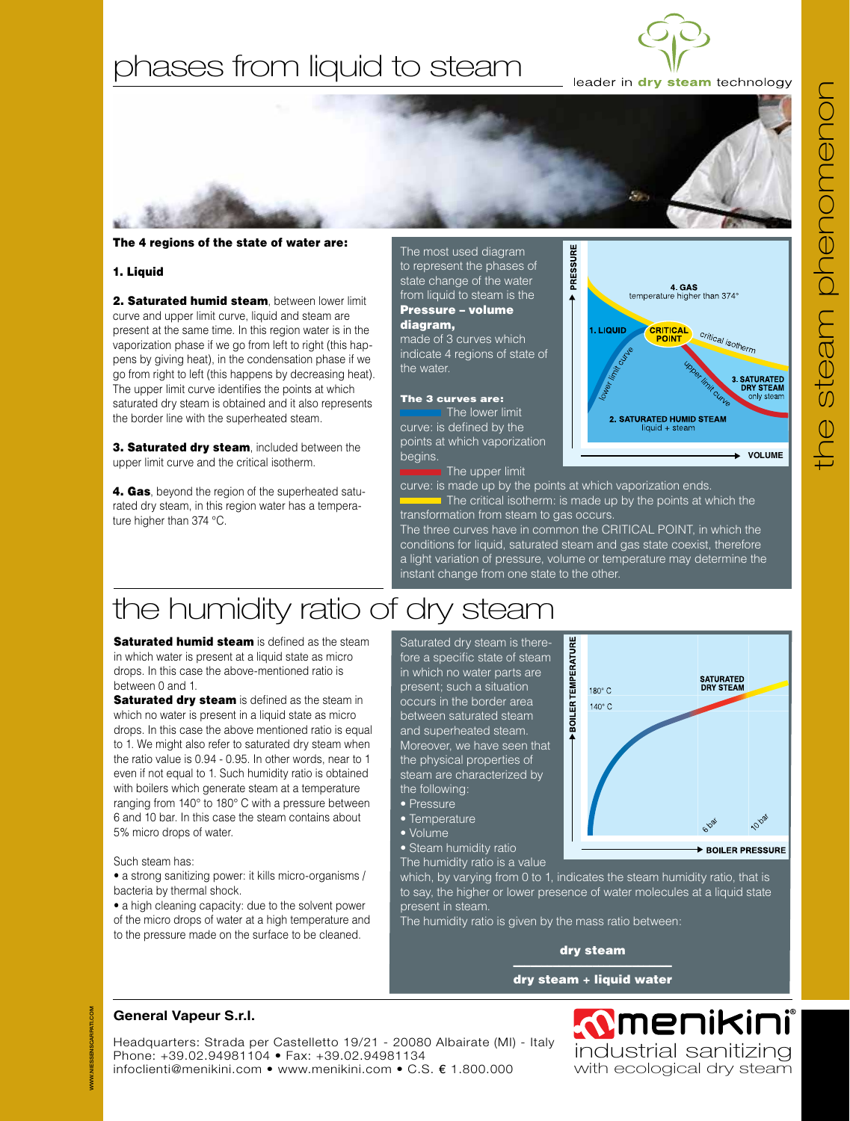## phases from liquid to steam



**Albert** 

leader in dry steam technology

4. GAS<br>temperature higher than 374°

2. SATURATED HUMID STEAM  $I$ iquid + stear

**CRITICAL** *Critical isotherm* 

### The 4 regions of the state of water are:

#### 1. Liquid

2. Saturated humid steam, between lower limit curve and upper limit curve, liquid and steam are present at the same time. In this region water is in the vaporization phase if we go from left to right (this happens by giving heat), in the condensation phase if we go from right to left (this happens by decreasing heat). The upper limit curve identifies the points at which saturated dry steam is obtained and it also represents the border line with the superheated steam.

3. Saturated dry steam, included between the upper limit curve and the critical isotherm.

4. Gas, beyond the region of the superheated saturated dry steam, in this region water has a temperature higher than 374 °C.

The most used diagram to represent the phases of state change of the water from liquid to steam is the Pressure – volume diagram,

made of 3 curves which indicate 4 regions of state of the water.

#### The 3 curves are:

The lower limit curve: is defined by the points at which vaporization begins.

The upper limit

curve: is made up by the points at which vaporization ends. The critical isotherm: is made up by the points at which the transformation from steam to gas occurs.

PRESSURE

 $\overline{ }$ 

1. LIQUID

The three curves have in common the CRITICAL POINT, in which the conditions for liquid, saturated steam and gas state coexist, therefore a light variation of pressure, volume or temperature may determine the instant change from one state to the other.

# the humidity ratio of dry steam

**Saturated humid steam** is defined as the steam in which water is present at a liquid state as micro drops. In this case the above-mentioned ratio is between 0 and 1.

**Saturated dry steam** is defined as the steam in which no water is present in a liquid state as micro drops. In this case the above mentioned ratio is equal to 1. We might also refer to saturated dry steam when the ratio value is 0.94 - 0.95. In other words, near to 1 even if not equal to 1. Such humidity ratio is obtained with boilers which generate steam at a temperature ranging from 140° to 180° C with a pressure between 6 and 10 bar. In this case the steam contains about 5% micro drops of water.

Such steam has:

• a strong sanitizing power: it kills micro-organisms / bacteria by thermal shock.

• a high cleaning capacity: due to the solvent power of the micro drops of water at a high temperature and to the pressure made on the surface to be cleaned.

#### Saturated dry steam is therefore a specific state of steam in which no water parts are present; such a situation occurs in the border area between saturated steam and superheated steam. Moreover, we have seen that the physical properties of steam are characterized by the following:

- Pressure
- Temperature
- Volume
- Steam humidity ratio
- The humidity ratio is a value



which, by varying from 0 to 1, indicates the steam humidity ratio, that is to say, the higher or lower presence of water molecules at a liquid state present in steam.

The humidity ratio is given by the mass ratio between:

#### dry steam

#### –––––––––––––––––––––––––––– dry steam + liquid water

## **General Vapeur S.r.l.**

Headquarters: Strada per Castelletto 19/21 - 20080 Albairate (MI) - Italy Phone: +39.02.94981104 • Fax: +39.02.94981134 infoclienti@menikini.com • www.menikini.com • C.S. € 1.800.000

**MENIKINI**<br>Industrial sanitizing with ecological dry steam

**VOLUME**

3. SATURATED<br>DRY STEAM<br>only steam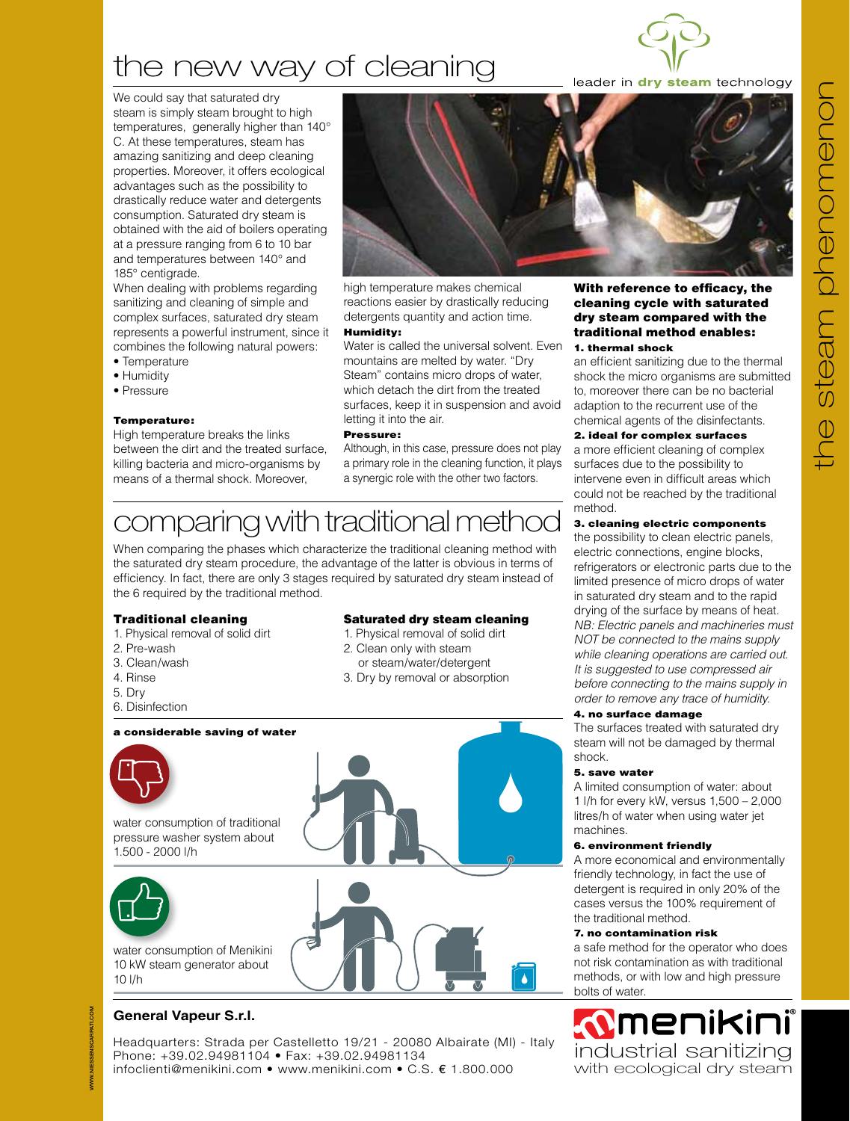# the new way of cleaning



leader in dry steam technology

We could say that saturated dry steam is simply steam brought to high temperatures, generally higher than 140° C. At these temperatures, steam has amazing sanitizing and deep cleaning properties. Moreover, it offers ecological advantages such as the possibility to drastically reduce water and detergents consumption. Saturated dry steam is obtained with the aid of boilers operating at a pressure ranging from 6 to 10 bar and temperatures between 140° and 185° centigrade.

When dealing with problems regarding sanitizing and cleaning of simple and complex surfaces, saturated dry steam represents a powerful instrument, since it combines the following natural powers:

- Temperature
- Humidity
- Pressure

#### Temperature:

High temperature breaks the links between the dirt and the treated surface, killing bacteria and micro-organisms by means of a thermal shock. Moreover,



high temperature makes chemical reactions easier by drastically reducing detergents quantity and action time.

#### Humidity:

Water is called the universal solvent. Even mountains are melted by water. "Dry Steam" contains micro drops of water, which detach the dirt from the treated surfaces, keep it in suspension and avoid letting it into the air.

#### Pressure:

Although, in this case, pressure does not play a primary role in the cleaning function, it plays a synergic role with the other two factors.

## comparing with traditional method

When comparing the phases which characterize the traditional cleaning method with the saturated dry steam procedure, the advantage of the latter is obvious in terms of efficiency. In fact, there are only 3 stages required by saturated dry steam instead of the 6 required by the traditional method.

## Traditional cleaning

- 1. Physical removal of solid dirt
- 2. Pre-wash
- 3. Clean/wash
- 4. Rinse
- 5. Dry
- 6. Disinfection

#### a considerable saving of water



water consumption of traditional pressure washer system about 1.500 - 2000 l/h



water consumption of Menikini 10 kW steam generator about 10 l/h

## **General Vapeur S.r.l.**

Headquarters: Strada per Castelletto 19/21 - 20080 Albairate (MI) - Italy Phone: +39.02.94981104 • Fax: +39.02.94981134 infoclienti@menikini.com • www.menikini.com • C.S. € 1.800.000

#### With reference to efficacy, the cleaning cycle with saturated dry steam compared with the traditional method enables: 1. thermal shock

an efficient sanitizing due to the thermal shock the micro organisms are submitted to, moreover there can be no bacterial adaption to the recurrent use of the chemical agents of the disinfectants.

### 2. ideal for complex surfaces

a more efficient cleaning of complex surfaces due to the possibility to intervene even in difficult areas which could not be reached by the traditional method.

## 3. cleaning electric components

the possibility to clean electric panels, electric connections, engine blocks, refrigerators or electronic parts due to the limited presence of micro drops of water in saturated dry steam and to the rapid drying of the surface by means of heat. *NB: Electric panels and machineries must NOT be connected to the mains supply while cleaning operations are carried out. It is suggested to use compressed air before connecting to the mains supply in order to remove any trace of humidity.*

### 4. no surface damage

The surfaces treated with saturated dry steam will not be damaged by thermal shock.

#### 5. save water

A limited consumption of water: about 1 l/h for every kW, versus 1,500 – 2,000 litres/h of water when using water jet machines.

### 6. environment friendly

A more economical and environmentally friendly technology, in fact the use of detergent is required in only 20% of the cases versus the 100% requirement of the traditional method.

## 7. no contamination risk

a safe method for the operator who does not risk contamination as with traditional methods, or with low and high pressure bolts of water.

**MENIKINI**<br>industrial sanitizing with ecological dry steam

#### 1. Physical removal of solid dirt 2. Clean only with steam or steam/water/detergent

Saturated dry steam cleaning

3. Dry by removal or absorption